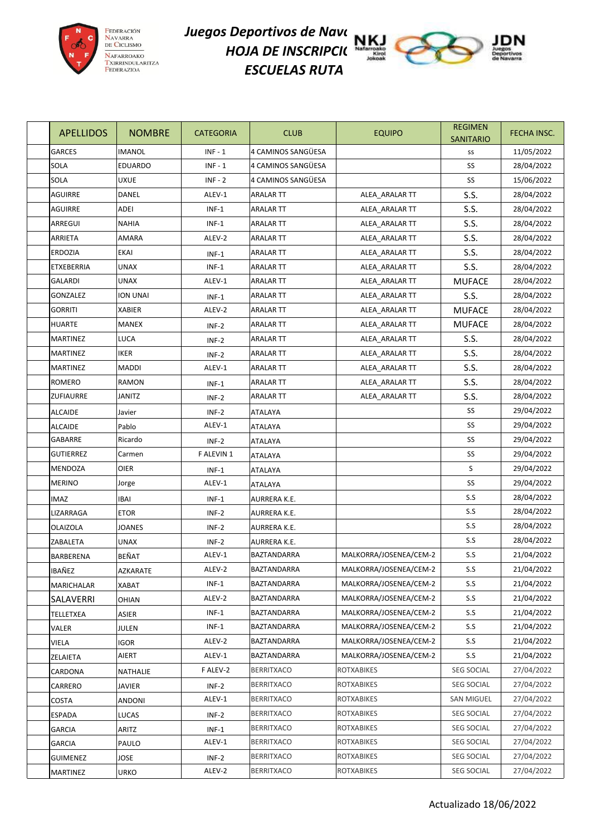

## *Juegos Deportivos de Nave*ra 1922 *HOJA DE INSCRIPCI*( **N** *ESCUELAS RUTA*



| <b>APELLIDOS</b> | <b>NOMBRE</b>  | <b>CATEGORIA</b> | <b>CLUB</b>         | <b>EQUIPO</b>          | <b>REGIMEN</b><br><b>SANITARIO</b> | FECHA INSC. |
|------------------|----------------|------------------|---------------------|------------------------|------------------------------------|-------------|
| <b>GARCES</b>    | <b>IMANOL</b>  | $INF - 1$        | 4 CAMINOS SANGÜESA  |                        | SS                                 | 11/05/2022  |
| <b>SOLA</b>      | <b>EDUARDO</b> | $INF - 1$        | 4 CAMINOS SANGÜESA  |                        | SS                                 | 28/04/2022  |
| <b>SOLA</b>      | <b>UXUE</b>    | $INF - 2$        | 4 CAMINOS SANGÜESA  |                        | SS                                 | 15/06/2022  |
| <b>AGUIRRE</b>   | DANEL          | ALEV-1           | <b>ARALAR TT</b>    | ALEA_ARALAR TT         | S.S.                               | 28/04/2022  |
| <b>AGUIRRE</b>   | ADEI           | $INF-1$          | <b>ARALAR TT</b>    | ALEA ARALAR TT         | S.S.                               | 28/04/2022  |
| ARREGUI          | <b>NAHIA</b>   | $INF-1$          | ARALAR TT           | ALEA_ARALAR TT         | S.S.                               | 28/04/2022  |
| ARRIETA          | AMARA          | ALEV-2           | <b>ARALAR TT</b>    | ALEA_ARALAR TT         | S.S.                               | 28/04/2022  |
| <b>ERDOZIA</b>   | <b>EKAI</b>    | $INF-1$          | <b>ARALAR TT</b>    | ALEA ARALAR TT         | S.S.                               | 28/04/2022  |
| ETXEBERRIA       | <b>UNAX</b>    | $INF-1$          | <b>ARALAR TT</b>    | ALEA_ARALAR TT         | S.S.                               | 28/04/2022  |
| <b>GALARDI</b>   | <b>UNAX</b>    | ALEV-1           | <b>ARALAR TT</b>    | ALEA_ARALAR TT         | <b>MUFACE</b>                      | 28/04/2022  |
| <b>GONZALEZ</b>  | ION UNAI       | $INF-1$          | <b>ARALAR TT</b>    | ALEA_ARALAR TT         | S.S.                               | 28/04/2022  |
| <b>GORRITI</b>   | <b>XABIER</b>  | ALEV-2           | <b>ARALAR TT</b>    | ALEA ARALAR TT         | <b>MUFACE</b>                      | 28/04/2022  |
| <b>HUARTE</b>    | <b>MANEX</b>   | $INF-2$          | ARALAR TT           | ALEA ARALAR TT         | <b>MUFACE</b>                      | 28/04/2022  |
| <b>MARTINEZ</b>  | LUCA           | $INF-2$          | <b>ARALAR TT</b>    | ALEA_ARALAR TT         | S.S.                               | 28/04/2022  |
| <b>MARTINEZ</b>  | <b>IKER</b>    | $INF-2$          | <b>ARALAR TT</b>    | ALEA_ARALAR TT         | S.S.                               | 28/04/2022  |
| <b>MARTINEZ</b>  | <b>MADDI</b>   | ALEV-1           | <b>ARALAR TT</b>    | ALEA ARALAR TT         | S.S.                               | 28/04/2022  |
| <b>ROMERO</b>    | <b>RAMON</b>   | $INF-1$          | <b>ARALAR TT</b>    | ALEA_ARALAR TT         | S.S.                               | 28/04/2022  |
| <b>ZUFIAURRE</b> | JANITZ         | $INF-2$          | <b>ARALAR TT</b>    | ALEA ARALAR TT         | S.S.                               | 28/04/2022  |
| <b>ALCAIDE</b>   | Javier         | $INF-2$          | ATALAYA             |                        | SS                                 | 29/04/2022  |
| <b>ALCAIDE</b>   | Pablo          | ALEV-1           | ATALAYA             |                        | SS                                 | 29/04/2022  |
| GABARRE          | Ricardo        | $INF-2$          | <b>ATALAYA</b>      |                        | SS                                 | 29/04/2022  |
| <b>GUTIERREZ</b> | Carmen         | F ALEVIN 1       | ATALAYA             |                        | SS                                 | 29/04/2022  |
| MENDOZA          | OIER           | $INF-1$          | <b>ATALAYA</b>      |                        | S                                  | 29/04/2022  |
| <b>MERINO</b>    | Jorge          | ALEV-1           | ATALAYA             |                        | SS                                 | 29/04/2022  |
| IMAZ             | IBAI           | INF-1            | AURRERA K.E.        |                        | S.S                                | 28/04/2022  |
| LIZARRAGA        | <b>ETOR</b>    | $INF-2$          | AURRERA K.E.        |                        | S.S                                | 28/04/2022  |
| <b>OLAIZOLA</b>  | <b>JOANES</b>  | INF-2            | <b>AURRERA K.E.</b> |                        | S.S                                | 28/04/2022  |
| ZABALETA         | <b>UNAX</b>    | INF-2            | AURRERA K.E.        |                        | S.S                                | 28/04/2022  |
| BARBERENA        | BEÑAT          | ALEV-1           | BAZTANDARRA         | MALKORRA/JOSENEA/CEM-2 | S.S                                | 21/04/2022  |
| <b>IBAÑEZ</b>    | AZKARATE       | ALEV-2           | BAZTANDARRA         | MALKORRA/JOSENEA/CEM-2 | S.S                                | 21/04/2022  |
| MARICHALAR       | <b>XABAT</b>   | $INF-1$          | BAZTANDARRA         | MALKORRA/JOSENEA/CEM-2 | S.S                                | 21/04/2022  |
| SALAVERRI        | OHIAN          | ALEV-2           | BAZTANDARRA         | MALKORRA/JOSENEA/CEM-2 | S.S                                | 21/04/2022  |
| TELLETXEA        | ASIER          | $INF-1$          | BAZTANDARRA         | MALKORRA/JOSENEA/CEM-2 | S.S                                | 21/04/2022  |
| VALER            | JULEN          | $INF-1$          | BAZTANDARRA         | MALKORRA/JOSENEA/CEM-2 | S.S                                | 21/04/2022  |
| VIELA            | <b>IGOR</b>    | ALEV-2           | BAZTANDARRA         | MALKORRA/JOSENEA/CEM-2 | S.S                                | 21/04/2022  |
| ZELAIETA         | AIERT          | ALEV-1           | BAZTANDARRA         | MALKORRA/JOSENEA/CEM-2 | S.S                                | 21/04/2022  |
| CARDONA          | NATHALIE       | F ALEV-2         | <b>BERRITXACO</b>   | <b>ROTXABIKES</b>      | <b>SEG SOCIAL</b>                  | 27/04/2022  |
| CARRERO          | JAVIER         | $INF-2$          | <b>BERRITXACO</b>   | <b>ROTXABIKES</b>      | <b>SEG SOCIAL</b>                  | 27/04/2022  |
| COSTA            | ANDONI         | ALEV-1           | <b>BERRITXACO</b>   | <b>ROTXABIKES</b>      | SAN MIGUEL                         | 27/04/2022  |
| <b>ESPADA</b>    | <b>LUCAS</b>   | $INF-2$          | <b>BERRITXACO</b>   | <b>ROTXABIKES</b>      | SEG SOCIAL                         | 27/04/2022  |
| GARCIA           | ARITZ          | $INF-1$          | <b>BERRITXACO</b>   | <b>ROTXABIKES</b>      | <b>SEG SOCIAL</b>                  | 27/04/2022  |
| <b>GARCIA</b>    | PAULO          | ALEV-1           | <b>BERRITXACO</b>   | <b>ROTXABIKES</b>      | <b>SEG SOCIAL</b>                  | 27/04/2022  |
| <b>GUIMENEZ</b>  | JOSE           | $INF-2$          | <b>BERRITXACO</b>   | <b>ROTXABIKES</b>      | <b>SEG SOCIAL</b>                  | 27/04/2022  |
| <b>MARTINEZ</b>  | URKO           | ALEV-2           | <b>BERRITXACO</b>   | ROTXABIKES             | SEG SOCIAL                         | 27/04/2022  |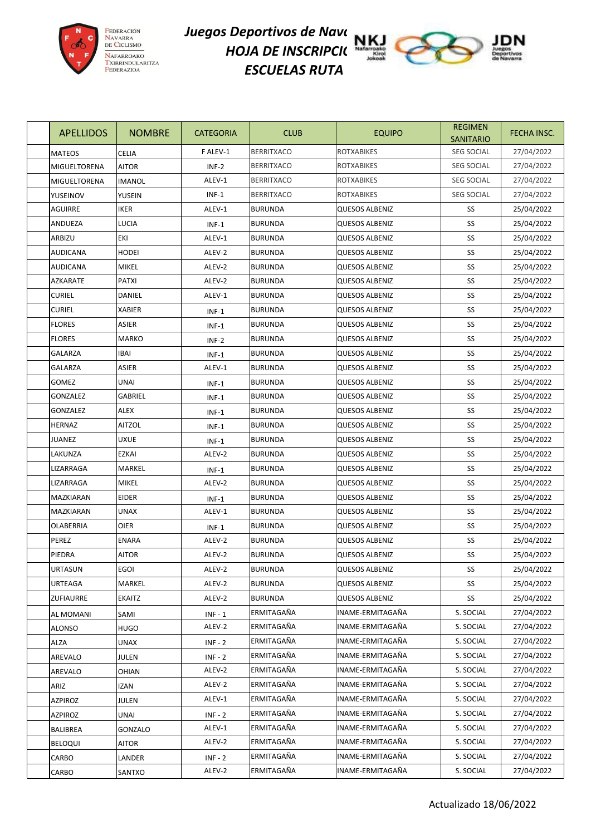

## *Juegos Deportivos de Nave*ra 1922 *HOJA DE INSCRIPCI*( **N** *ESCUELAS RUTA*



| <b>APELLIDOS</b>    | <b>NOMBRE</b> | <b>CATEGORIA</b> | <b>CLUB</b>       | <b>EQUIPO</b>         | <b>REGIMEN</b><br><b>SANITARIO</b> | FECHA INSC. |
|---------------------|---------------|------------------|-------------------|-----------------------|------------------------------------|-------------|
| <b>MATEOS</b>       | <b>CELIA</b>  | F ALEV-1         | <b>BERRITXACO</b> | <b>ROTXABIKES</b>     | <b>SEG SOCIAL</b>                  | 27/04/2022  |
| <b>MIGUELTORENA</b> | AITOR         | $INF-2$          | <b>BERRITXACO</b> | <b>ROTXABIKES</b>     | <b>SEG SOCIAL</b>                  | 27/04/2022  |
| MIGUELTORENA        | IMANOL        | ALEV-1           | <b>BERRITXACO</b> | ROTXABIKES            | <b>SEG SOCIAL</b>                  | 27/04/2022  |
| YUSEINOV            | YUSEIN        | INF-1            | <b>BERRITXACO</b> | <b>ROTXABIKES</b>     | <b>SEG SOCIAL</b>                  | 27/04/2022  |
| AGUIRRE             | <b>IKER</b>   | ALEV-1           | <b>BURUNDA</b>    | <b>QUESOS ALBENIZ</b> | SS                                 | 25/04/2022  |
| <b>ANDUEZA</b>      | LUCIA         | $INF-1$          | <b>BURUNDA</b>    | <b>QUESOS ALBENIZ</b> | SS                                 | 25/04/2022  |
| ARBIZU              | EKI           | ALEV-1           | <b>BURUNDA</b>    | <b>QUESOS ALBENIZ</b> | SS                                 | 25/04/2022  |
| <b>AUDICANA</b>     | HODEI         | ALEV-2           | <b>BURUNDA</b>    | QUESOS ALBENIZ        | SS                                 | 25/04/2022  |
| <b>AUDICANA</b>     | MIKEL         | ALEV-2           | <b>BURUNDA</b>    | QUESOS ALBENIZ        | SS                                 | 25/04/2022  |
| AZKARATE            | PATXI         | ALEV-2           | <b>BURUNDA</b>    | <b>QUESOS ALBENIZ</b> | SS                                 | 25/04/2022  |
| <b>CURIEL</b>       | DANIEL        | ALEV-1           | <b>BURUNDA</b>    | <b>QUESOS ALBENIZ</b> | SS                                 | 25/04/2022  |
| <b>CURIEL</b>       | XABIER        | $INF-1$          | <b>BURUNDA</b>    | <b>QUESOS ALBENIZ</b> | SS                                 | 25/04/2022  |
| <b>FLORES</b>       | ASIER         | INF-1            | <b>BURUNDA</b>    | QUESOS ALBENIZ        | SS                                 | 25/04/2022  |
| <b>FLORES</b>       | <b>MARKO</b>  | $INF-2$          | <b>BURUNDA</b>    | QUESOS ALBENIZ        | SS                                 | 25/04/2022  |
| <b>GALARZA</b>      | IBAI          | $INF-1$          | <b>BURUNDA</b>    | <b>QUESOS ALBENIZ</b> | SS                                 | 25/04/2022  |
| GALARZA             | ASIER         | ALEV-1           | <b>BURUNDA</b>    | <b>QUESOS ALBENIZ</b> | SS                                 | 25/04/2022  |
| <b>GOMEZ</b>        | UNAI          | $INF-1$          | <b>BURUNDA</b>    | <b>QUESOS ALBENIZ</b> | SS                                 | 25/04/2022  |
| <b>GONZALEZ</b>     | GABRIEL       | $INF-1$          | <b>BURUNDA</b>    | <b>QUESOS ALBENIZ</b> | SS                                 | 25/04/2022  |
| <b>GONZALEZ</b>     | ALEX          | $INF-1$          | <b>BURUNDA</b>    | <b>QUESOS ALBENIZ</b> | SS                                 | 25/04/2022  |
| <b>HERNAZ</b>       | <b>AITZOL</b> | $INF-1$          | <b>BURUNDA</b>    | QUESOS ALBENIZ        | SS                                 | 25/04/2022  |
| JUANEZ              | <b>UXUE</b>   | $INF-1$          | <b>BURUNDA</b>    | <b>QUESOS ALBENIZ</b> | SS                                 | 25/04/2022  |
| LAKUNZA             | EZKAI         | ALEV-2           | <b>BURUNDA</b>    | <b>QUESOS ALBENIZ</b> | SS                                 | 25/04/2022  |
| LIZARRAGA           | MARKEL        | INF-1            | <b>BURUNDA</b>    | <b>QUESOS ALBENIZ</b> | SS                                 | 25/04/2022  |
| LIZARRAGA           | <b>MIKEL</b>  | ALEV-2           | <b>BURUNDA</b>    | <b>QUESOS ALBENIZ</b> | SS                                 | 25/04/2022  |
| MAZKIARAN           | EIDER         | $INF-1$          | <b>BURUNDA</b>    | QUESOS ALBENIZ        | SS                                 | 25/04/2022  |
| MAZKIARAN           | <b>UNAX</b>   | ALEV-1           | <b>BURUNDA</b>    | <b>QUESOS ALBENIZ</b> | SS                                 | 25/04/2022  |
| OLABERRIA           | OIER          | $INF-1$          | <b>BURUNDA</b>    | QUESOS ALBENIZ        | SS                                 | 25/04/2022  |
| PEREZ               | ENARA         | ALEV-2           | <b>BURUNDA</b>    | QUESOS ALBENIZ        | SS                                 | 25/04/2022  |
| PIEDRA              | AITOR         | ALEV-2           | <b>BURUNDA</b>    | <b>QUESOS ALBENIZ</b> | SS                                 | 25/04/2022  |
| <b>URTASUN</b>      | EGOI          | ALEV-2           | <b>BURUNDA</b>    | QUESOS ALBENIZ        | SS                                 | 25/04/2022  |
| URTEAGA             | MARKEL        | ALEV-2           | <b>BURUNDA</b>    | <b>QUESOS ALBENIZ</b> | SS                                 | 25/04/2022  |
| <b>ZUFIAURRE</b>    | EKAITZ        | ALEV-2           | <b>BURUNDA</b>    | <b>QUESOS ALBENIZ</b> | SS                                 | 25/04/2022  |
| <b>AL MOMANI</b>    | SAMI          | $INF - 1$        | ERMITAGAÑA        | INAME-ERMITAGAÑA      | S. SOCIAL                          | 27/04/2022  |
| <b>ALONSO</b>       | <b>HUGO</b>   | ALEV-2           | ERMITAGAÑA        | INAME-ERMITAGAÑA      | S. SOCIAL                          | 27/04/2022  |
| <b>ALZA</b>         | <b>UNAX</b>   | $INF - 2$        | ERMITAGAÑA        | INAME-ERMITAGAÑA      | S. SOCIAL                          | 27/04/2022  |
| AREVALO             | JULEN         | $INF - 2$        | ERMITAGAÑA        | INAME-ERMITAGAÑA      | S. SOCIAL                          | 27/04/2022  |
| AREVALO             | OHIAN         | ALEV-2           | ERMITAGAÑA        | INAME-ERMITAGAÑA      | S. SOCIAL                          | 27/04/2022  |
| ARIZ                | <b>IZAN</b>   | ALEV-2           | ERMITAGAÑA        | INAME-ERMITAGAÑA      | S. SOCIAL                          | 27/04/2022  |
| <b>AZPIROZ</b>      | JULEN         | ALEV-1           | ERMITAGAÑA        | INAME-ERMITAGAÑA      | S. SOCIAL                          | 27/04/2022  |
| <b>AZPIROZ</b>      | UNAI          | $INF - 2$        | ERMITAGAÑA        | INAME-ERMITAGAÑA      | S. SOCIAL                          | 27/04/2022  |
| <b>BALIBREA</b>     | GONZALO       | ALEV-1           | ERMITAGAÑA        | INAME-ERMITAGAÑA      | S. SOCIAL                          | 27/04/2022  |
| <b>BELOQUI</b>      | <b>AITOR</b>  | ALEV-2           | ERMITAGAÑA        | INAME-ERMITAGAÑA      | S. SOCIAL                          | 27/04/2022  |
| CARBO               | LANDER        | $INF - 2$        | ERMITAGAÑA        | INAME-ERMITAGAÑA      | S. SOCIAL                          | 27/04/2022  |
| CARBO               | SANTXO        | ALEV-2           | ERMITAGAÑA        | INAME-ERMITAGAÑA      | S. SOCIAL                          | 27/04/2022  |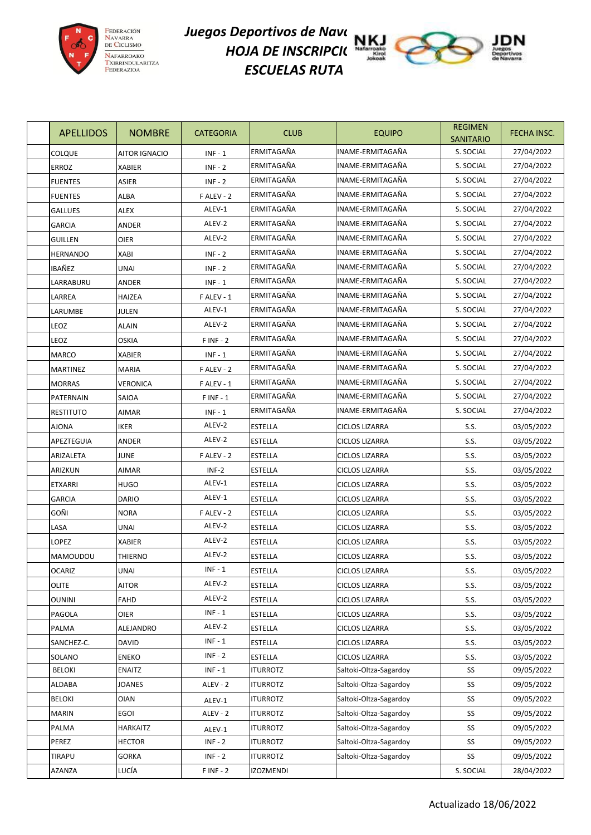

## *Juegos Deportivos de Nave*ra 1922 *HOJA DE INSCRIPCI*( **N** *ESCUELAS RUTA*



| <b>APELLIDOS</b> | <b>NOMBRE</b>        | <b>CATEGORIA</b> | <b>CLUB</b>     | <b>EQUIPO</b>          | <b>REGIMEN</b><br><b>SANITARIO</b> | FECHA INSC. |
|------------------|----------------------|------------------|-----------------|------------------------|------------------------------------|-------------|
| <b>COLQUE</b>    | <b>AITOR IGNACIO</b> | $INF - 1$        | ERMITAGAÑA      | INAME-ERMITAGAÑA       | S. SOCIAL                          | 27/04/2022  |
| <b>ERROZ</b>     | <b>XABIER</b>        | $INF - 2$        | ERMITAGAÑA      | INAME-ERMITAGAÑA       | S. SOCIAL                          | 27/04/2022  |
| <b>FUENTES</b>   | ASIER                | $INF - 2$        | ERMITAGAÑA      | INAME-ERMITAGAÑA       | S. SOCIAL                          | 27/04/2022  |
| <b>FUENTES</b>   | ALBA                 | F ALEV - 2       | ERMITAGAÑA      | INAME-ERMITAGAÑA       | S. SOCIAL                          | 27/04/2022  |
| <b>GALLUES</b>   | ALEX                 | ALEV-1           | ERMITAGAÑA      | INAME-ERMITAGAÑA       | S. SOCIAL                          | 27/04/2022  |
| <b>GARCIA</b>    | ANDER                | ALEV-2           | ERMITAGAÑA      | INAME-ERMITAGAÑA       | S. SOCIAL                          | 27/04/2022  |
| <b>GUILLEN</b>   | <b>OIER</b>          | ALEV-2           | ERMITAGAÑA      | INAME-ERMITAGAÑA       | S. SOCIAL                          | 27/04/2022  |
| HERNANDO         | <b>XABI</b>          | $INF - 2$        | ERMITAGAÑA      | INAME-ERMITAGAÑA       | S. SOCIAL                          | 27/04/2022  |
| IBAÑEZ           | UNAI                 | $INF - 2$        | ERMITAGAÑA      | INAME-ERMITAGAÑA       | S. SOCIAL                          | 27/04/2022  |
| LARRABURU        | ANDER                | $INF - 1$        | ERMITAGAÑA      | INAME-ERMITAGAÑA       | S. SOCIAL                          | 27/04/2022  |
| LARREA           | HAIZEA               | F ALEV - 1       | ERMITAGAÑA      | INAME-ERMITAGAÑA       | S. SOCIAL                          | 27/04/2022  |
| LARUMBE          | JULEN                | ALEV-1           | ERMITAGAÑA      | INAME-ERMITAGAÑA       | S. SOCIAL                          | 27/04/2022  |
| LEOZ             | <b>ALAIN</b>         | ALEV-2           | ERMITAGAÑA      | INAME-ERMITAGAÑA       | S. SOCIAL                          | 27/04/2022  |
| LEOZ             | <b>OSKIA</b>         | $F$ INF - 2      | ERMITAGAÑA      | INAME-ERMITAGAÑA       | S. SOCIAL                          | 27/04/2022  |
| <b>MARCO</b>     | <b>XABIER</b>        | $INF - 1$        | ERMITAGAÑA      | INAME-ERMITAGAÑA       | S. SOCIAL                          | 27/04/2022  |
| <b>MARTINEZ</b>  | <b>MARIA</b>         | F ALEV - 2       | ERMITAGAÑA      | INAME-ERMITAGAÑA       | S. SOCIAL                          | 27/04/2022  |
| <b>MORRAS</b>    | <b>VERONICA</b>      | F ALEV - 1       | ERMITAGAÑA      | INAME-ERMITAGAÑA       | S. SOCIAL                          | 27/04/2022  |
| PATERNAIN        | SAIOA                | $F$ INF - 1      | ERMITAGAÑA      | INAME-ERMITAGAÑA       | S. SOCIAL                          | 27/04/2022  |
| <b>RESTITUTO</b> | <b>AIMAR</b>         | $INF - 1$        | ERMITAGAÑA      | INAME-ERMITAGAÑA       | S. SOCIAL                          | 27/04/2022  |
| AJONA            | <b>IKER</b>          | ALEV-2           | <b>ESTELLA</b>  | <b>CICLOS LIZARRA</b>  | S.S.                               | 03/05/2022  |
| APEZTEGUIA       | ANDER                | ALEV-2           | <b>ESTELLA</b>  | <b>CICLOS LIZARRA</b>  | S.S.                               | 03/05/2022  |
| ARIZALETA        | <b>JUNE</b>          | F ALEV - 2       | ESTELLA         | <b>CICLOS LIZARRA</b>  | S.S.                               | 03/05/2022  |
| ARIZKUN          | AIMAR                | INF-2            | <b>ESTELLA</b>  | <b>CICLOS LIZARRA</b>  | S.S.                               | 03/05/2022  |
| <b>ETXARRI</b>   | <b>HUGO</b>          | ALEV-1           | <b>ESTELLA</b>  | <b>CICLOS LIZARRA</b>  | S.S.                               | 03/05/2022  |
| <b>GARCIA</b>    | <b>DARIO</b>         | ALEV-1           | ESTELLA         | <b>CICLOS LIZARRA</b>  | S.S.                               | 03/05/2022  |
| goñi             | <b>NORA</b>          | F ALEV - 2       | ESTELLA         | <b>CICLOS LIZARRA</b>  | S.S.                               | 03/05/2022  |
| LASA             | <b>UNAI</b>          | ALEV-2           | <b>ESTELLA</b>  | <b>CICLOS LIZARRA</b>  | S.S.                               | 03/05/2022  |
| <b>LOPEZ</b>     | <b>XABIER</b>        | ALEV-2           | ESTELLA         | <b>CICLOS LIZARRA</b>  | S.S.                               | 03/05/2022  |
| MAMOUDOU         | THIERNO              | ALEV-2           | <b>ESTELLA</b>  | <b>CICLOS LIZARRA</b>  | S.S.                               | 03/05/2022  |
| <b>OCARIZ</b>    | <b>UNAI</b>          | $INF - 1$        | <b>ESTELLA</b>  | <b>CICLOS LIZARRA</b>  | S.S.                               | 03/05/2022  |
| OLITE            | <b>AITOR</b>         | ALEV-2           | ESTELLA         | <b>CICLOS LIZARRA</b>  | S.S.                               | 03/05/2022  |
| <b>OUNINI</b>    | FAHD                 | ALEV-2           | ESTELLA         | CICLOS LIZARRA         | S.S.                               | 03/05/2022  |
| PAGOLA           | OIER                 | $INF - 1$        | ESTELLA         | <b>CICLOS LIZARRA</b>  | S.S.                               | 03/05/2022  |
| PALMA            | ALEJANDRO            | ALEV-2           | ESTELLA         | <b>CICLOS LIZARRA</b>  | S.S.                               | 03/05/2022  |
| SANCHEZ-C.       | <b>DAVID</b>         | $INF - 1$        | ESTELLA         | CICLOS LIZARRA         | S.S.                               | 03/05/2022  |
| SOLANO           | <b>ENEKO</b>         | $INF - 2$        | <b>ESTELLA</b>  | <b>CICLOS LIZARRA</b>  | S.S.                               | 03/05/2022  |
| <b>BELOKI</b>    | <b>ENAITZ</b>        | $INF - 1$        | <b>ITURROTZ</b> | Saltoki-Oltza-Sagardoy | SS                                 | 09/05/2022  |
| ALDABA           | <b>JOANES</b>        | ALEV - 2         | <b>ITURROTZ</b> | Saltoki-Oltza-Sagardoy | SS                                 | 09/05/2022  |
| <b>BELOKI</b>    | <b>OIAN</b>          | ALEV-1           | <b>ITURROTZ</b> | Saltoki-Oltza-Sagardoy | SS                                 | 09/05/2022  |
| MARIN            | EGOI                 | ALEV - 2         | <b>ITURROTZ</b> | Saltoki-Oltza-Sagardoy | SS                                 | 09/05/2022  |
| PALMA            | HARKAITZ             | ALEV-1           | <b>ITURROTZ</b> | Saltoki-Oltza-Sagardoy | SS                                 | 09/05/2022  |
| PEREZ            | HECTOR               | $INF - 2$        | <b>ITURROTZ</b> | Saltoki-Oltza-Sagardoy | SS                                 | 09/05/2022  |
| TIRAPU           | <b>GORKA</b>         | $INF - 2$        | ITURROTZ        | Saltoki-Oltza-Sagardoy | SS                                 | 09/05/2022  |
| AZANZA           | LUCÍA                | $F$ INF - 2      | IZOZMENDI       |                        | S. SOCIAL                          | 28/04/2022  |